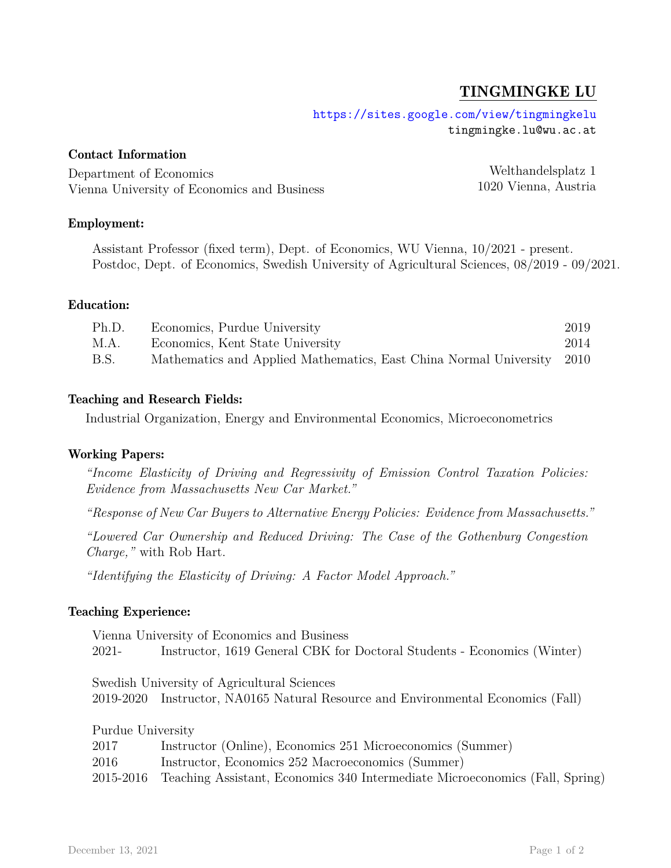# TINGMINGKE LU

<https://sites.google.com/view/tingmingkelu> tingmingke.lu@wu.ac.at

## Contact Information

Department of Economics Vienna University of Economics and Business

Welthandelsplatz 1 1020 Vienna, Austria

# Employment:

Assistant Professor (fixed term), Dept. of Economics, WU Vienna, 10/2021 - present. Postdoc, Dept. of Economics, Swedish University of Agricultural Sciences, 08/2019 - 09/2021.

#### Education:

| Ph.D. | Economics, Purdue University                                           | 2019 |
|-------|------------------------------------------------------------------------|------|
| M.A.  | Economics, Kent State University                                       | 2014 |
| B.S.  | Mathematics and Applied Mathematics, East China Normal University 2010 |      |

#### Teaching and Research Fields:

Industrial Organization, Energy and Environmental Economics, Microeconometrics

#### Working Papers:

*"Income Elasticity of Driving and Regressivity of Emission Control Taxation Policies: Evidence from Massachusetts New Car Market."*

*"Response of New Car Buyers to Alternative Energy Policies: Evidence from Massachusetts."*

*"Lowered Car Ownership and Reduced Driving: The Case of the Gothenburg Congestion Charge,"* with Rob Hart.

*"Identifying the Elasticity of Driving: A Factor Model Approach."*

#### Teaching Experience:

Vienna University of Economics and Business 2021- Instructor, 1619 General CBK for Doctoral Students - Economics (Winter)

Swedish University of Agricultural Sciences 2019-2020 Instructor, NA0165 Natural Resource and Environmental Economics (Fall)

Purdue University 2017 Instructor (Online), Economics 251 Microeconomics (Summer) 2016 Instructor, Economics 252 Macroeconomics (Summer) 2015-2016 Teaching Assistant, Economics 340 Intermediate Microeconomics (Fall, Spring)